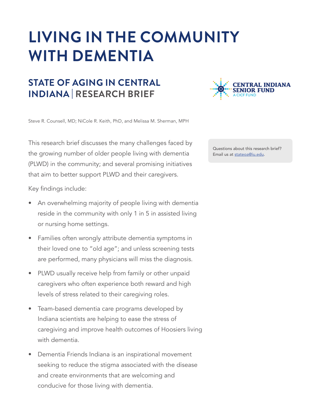# **LIVING IN THE COMMUNITY WITH DEMENTIA**

# **STATE OF AGING IN CENTRAL INDIANA | RESEARCH BRIEF**



Steve R. Counsell, MD; NiCole R. Keith, PhD, and Melissa M. Sherman, MPH

This research brief discusses the many challenges faced by the growing number of older people living with dementia (PLWD) in the community; and several promising initiatives that aim to better support PLWD and their caregivers.

Key findings include:

- An overwhelming majority of people living with dementia reside in the community with only 1 in 5 in assisted living or nursing home settings.
- Families often wrongly attribute dementia symptoms in their loved one to "old age"; and unless screening tests are performed, many physicians will miss the diagnosis.
- PLWD usually receive help from family or other unpaid caregivers who often experience both reward and high levels of stress related to their caregiving roles.
- Team-based dementia care programs developed by Indiana scientists are helping to ease the stress of caregiving and improve health outcomes of Hoosiers living with dementia.
- Dementia Friends Indiana is an inspirational movement seeking to reduce the stigma associated with the disease and create environments that are welcoming and conducive for those living with dementia.

Questions about this research brief? Email us at stateoa@iu.edu.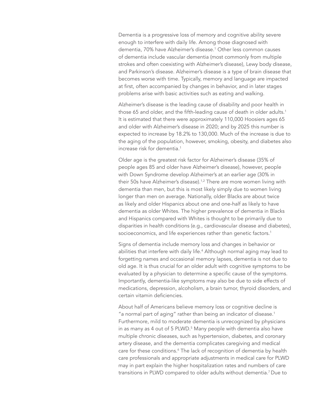Dementia is a progressive loss of memory and cognitive ability severe enough to interfere with daily life. Among those diagnosed with dementia, 70% have Alzheimer's disease.1 Other less common causes of dementia include vascular dementia (most commonly from multiple strokes and often coexisting with Alzheimer's disease), Lewy body disease, and Parkinson's disease. Alzheimer's disease is a type of brain disease that becomes worse with time. Typically, memory and language are impacted at first, often accompanied by changes in behavior, and in later stages problems arise with basic activities such as eating and walking.

Alzheimer's disease is the leading cause of disability and poor health in those 65 and older, and the fifth-leading cause of death in older adults.<sup>1</sup> It is estimated that there were approximately 110,000 Hoosiers ages 65 and older with Alzheimer's disease in 2020; and by 2025 this number is expected to increase by 18.2% to 130,000. Much of the increase is due to the aging of the population, however, smoking, obesity, and diabetes also increase risk for dementia.<sup>1</sup>

Older age is the greatest risk factor for Alzheimer's disease (35% of people ages 85 and older have Alzheimer's disease), however, people with Down Syndrome develop Alzheimer's at an earlier age (30% in their 50s have Alzheimer's disease).<sup>1,2</sup> There are more women living with dementia than men, but this is most likely simply due to women living longer than men on average. Nationally, older Blacks are about twice as likely and older Hispanics about one and one-half as likely to have dementia as older Whites. The higher prevalence of dementia in Blacks and Hispanics compared with Whites is thought to be primarily due to disparities in health conditions (e.g., cardiovascular disease and diabetes), socioeconomics, and life experiences rather than genetic factors.<sup>1</sup>

Signs of dementia include memory loss and changes in behavior or abilities that interfere with daily life.<sup>4</sup> Although normal aging may lead to forgetting names and occasional memory lapses, dementia is not due to old age. It is thus crucial for an older adult with cognitive symptoms to be evaluated by a physician to determine a specific cause of the symptoms. Importantly, dementia-like symptoms may also be due to side effects of medications, depression, alcoholism, a brain tumor, thyroid disorders, and certain vitamin deficiencies.

About half of Americans believe memory loss or cognitive decline is "a normal part of aging" rather than being an indicator of disease.<sup>1</sup> Furthermore, mild to moderate dementia is unrecognized by physicians in as many as 4 out of 5 PLWD. $^5$  Many people with dementia also have multiple chronic diseases, such as hypertension, diabetes, and coronary artery disease, and the dementia complicates caregiving and medical care for these conditions.<sup>6</sup> The lack of recognition of dementia by health care professionals and appropriate adjustments in medical care for PLWD may in part explain the higher hospitalization rates and numbers of care transitions in PLWD compared to older adults without dementia.7 Due to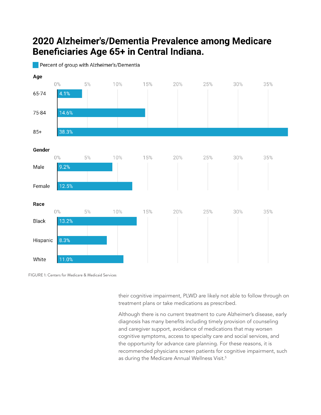## 2020 Alzheimer's/Dementia Prevalence among Medicare Beneficiaries Age 65+ in Central Indiana.

Percent of group with Alzheimer's/Dementia



FIGURE 1: Centers for Medicare & Medicaid Services

their cognitive impairment, PLWD are likely not able to follow through on treatment plans or take medications as prescribed.

Although there is no current treatment to cure Alzheimer's disease, early diagnosis has many benefits including timely provision of counseling and caregiver support, avoidance of medications that may worsen cognitive symptoms, access to specialty care and social services, and the opportunity for advance care planning. For these reasons, it is recommended physicians screen patients for cognitive impairment, such as during the Medicare Annual Wellness Visit.<sup>5</sup>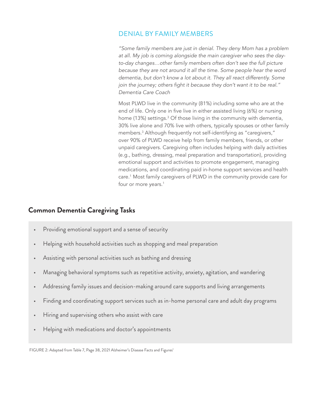## DENIAL BY FAMILY MEMBERS

*"Some family members are just in denial. They deny Mom has a problem at all. My job is coming alongside the main caregiver who sees the dayto-day changes…other family members often don't see the full picture because they are not around it all the time. Some people hear the word dementia, but don't know a lot about it. They all react differently. Some*  join the journey; others fight it because they don't want it to be real." *Dementia Care Coach*

Most PLWD live in the community (81%) including some who are at the end of life. Only one in five live in either assisted living (6%) or nursing home (13%) settings.<sup>3</sup> Of those living in the community with dementia, 30% live alone and 70% live with others, typically spouses or other family members.3 Although frequently not self-identifying as "caregivers," over 90% of PLWD receive help from family members, friends, or other unpaid caregivers. Caregiving often includes helping with daily activities (e.g., bathing, dressing, meal preparation and transportation), providing emotional support and activities to promote engagement, managing medications, and coordinating paid in-home support services and health care.1 Most family caregivers of PLWD in the community provide care for four or more years.<sup>1</sup>

## **Common Dementia Caregiving Tasks**

- Providing emotional support and a sense of security
- Helping with household activities such as shopping and meal preparation
- Assisting with personal activities such as bathing and dressing
- Managing behavioral symptoms such as repetitive activity, anxiety, agitation, and wandering
- Addressing family issues and decision-making around care supports and living arrangements
- Finding and coordinating support services such as in-home personal care and adult day programs
- Hiring and supervising others who assist with care
- Helping with medications and doctor's appointments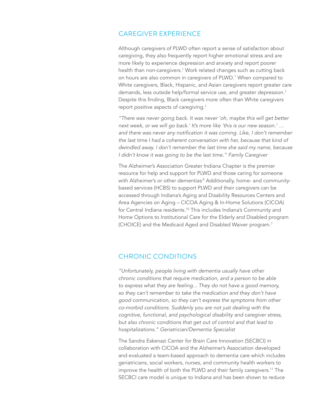#### CAREGIVER EXPERIENCE

Although caregivers of PLWD often report a sense of satisfaction about caregiving, they also frequently report higher emotional stress and are more likely to experience depression and anxiety and report poorer health than non-caregivers.1 Work related changes such as cutting back on hours are also common in caregivers of PLWD.<sup>1</sup> When compared to White caregivers, Black, Hispanic, and Asian caregivers report greater care demands, less outside help/formal service use, and greater depression.<sup>1</sup> Despite this finding, Black caregivers more often than White caregivers report positive aspects of caregiving.<sup>1</sup>

*"There was never going back. It was never 'oh, maybe this will get better next week, or we will go back.' It's more like 'this is our new season.' …*  and there was never any notification it was coming. Like, I don't remember *the last time I had a coherent conversation with her, because that kind of dwindled away. I don't remember the last time she said my name, because*  I didn't know it was going to be the last time." Family Caregiver

The Alzheimer's Association Greater Indiana Chapter is the premier resource for help and support for PLWD and those caring for someone with Alzheimer's or other dementias<sup>8</sup> Additionally, home- and communitybased services (HCBS) to support PLWD and their caregivers can be accessed through Indiana's Aging and Disability Resources Centers and Area Agencies on Aging – CICOA Aging & In-Home Solutions (CICOA) for Central Indiana residents.<sup>10</sup> This includes Indiana's Community and Home Options to Institutional Care for the Elderly and Disabled program (CHOICE) and the Medicaid Aged and Disabled Waiver program.7

### CHRONIC CONDITIONS

*"Unfortunately, people living with dementia usually have other chronic conditions that require medication, and a person to be able to express what they are feeling... They do not have a good memory, so they can't remember to take the medication and they don't have good communication, so they can't express the symptoms from other co-morbid conditions. Suddenly you are not just dealing with the cognitive, functional, and psychological disability and caregiver stress, but also chronic conditions that get out of control and that lead to*  hospitalizations." Geriatrician/Dementia Specialist

The Sandra Eskenazi Center for Brain Care Innovation (SECBCI) in collaboration with CICOA and the Alzheimer's Association developed and evaluated a team-based approach to dementia care which includes geriatricians, social workers, nurses, and community health workers to improve the health of both the PLWD and their family caregivers.<sup>11</sup> The SECBCI care model is unique to Indiana and has been shown to reduce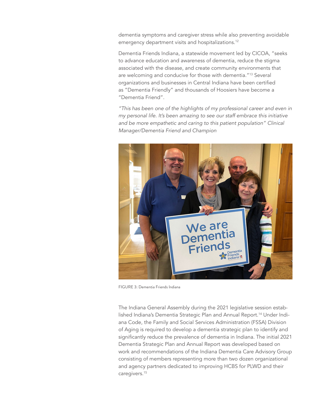dementia symptoms and caregiver stress while also preventing avoidable emergency department visits and hospitalizations.<sup>12</sup>

Dementia Friends Indiana, a statewide movement led by CICOA, "seeks to advance education and awareness of dementia, reduce the stigma associated with the disease, and create community environments that are welcoming and conducive for those with dementia."13 Several organizations and businesses in Central Indiana have been certified as "Dementia Friendly" and thousands of Hoosiers have become a "Dementia Friend".

*"This has been one of the highlights of my professional career and even in my personal life. It's been amazing to see our staff embrace this initiative*  and be more empathetic and caring to this patient population" Clinical Manager/Dementia Friend and Champion



FIGURE 3: Dementia Friends Indiana

The Indiana General Assembly during the 2021 legislative session established Indiana's Dementia Strategic Plan and Annual Report.<sup>14</sup> Under Indiana Code, the Family and Social Services Administration (FSSA) Division of Aging is required to develop a dementia strategic plan to identify and significantly reduce the prevalence of dementia in Indiana. The initial 2021 Dementia Strategic Plan and Annual Report was developed based on work and recommendations of the Indiana Dementia Care Advisory Group consisting of members representing more than two dozen organizational and agency partners dedicated to improving HCBS for PLWD and their caregivers.15